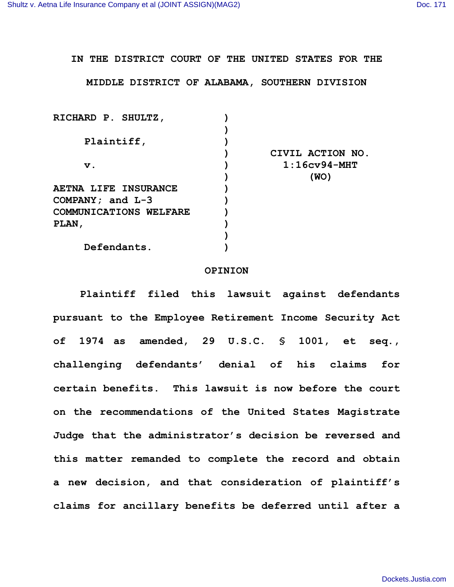**IN THE DISTRICT COURT OF THE UNITED STATES FOR THE**

**MIDDLE DISTRICT OF ALABAMA, SOUTHERN DIVISION**

| RICHARD P. SHULTZ,            |                  |
|-------------------------------|------------------|
|                               |                  |
| Plaintiff,                    |                  |
|                               | CIVIL ACTION NO. |
| $\mathbf v$ .                 | $1:16$ cv94-MHT  |
|                               | (WO)             |
| <b>AETNA LIFE INSURANCE</b>   |                  |
| COMPANY; and $L-3$            |                  |
| <b>COMMUNICATIONS WELFARE</b> |                  |
| PLAN,                         |                  |
|                               |                  |
| Defendants.                   |                  |
|                               |                  |

## **OPINION**

**Plaintiff filed this lawsuit against defendants pursuant to the Employee Retirement Income Security Act of 1974 as amended, 29 U.S.C. § 1001, et seq., challenging defendants' denial of his claims for certain benefits. This lawsuit is now before the court on the recommendations of the United States Magistrate Judge that the administrator's decision be reversed and this matter remanded to complete the record and obtain a new decision, and that consideration of plaintiff's claims for ancillary benefits be deferred until after a**